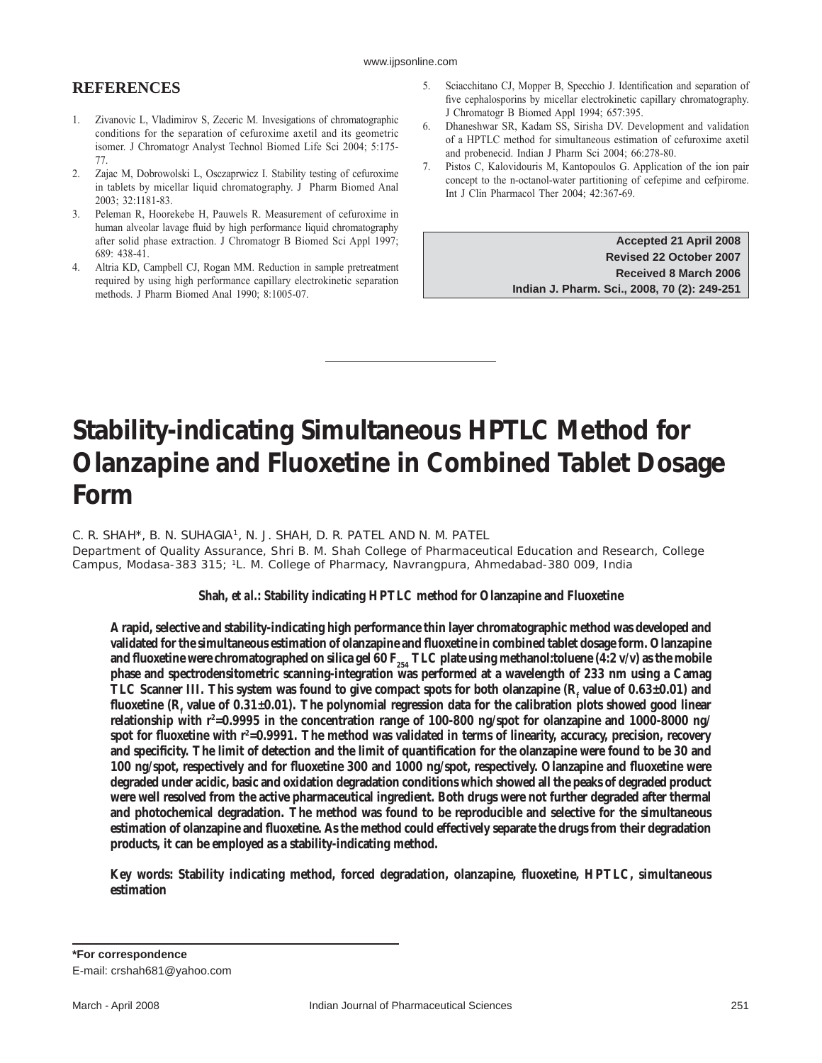# **Stability-indicating Simultaneous HPTLC Method for Olanzapine and Fluoxetine in Combined Tablet Dosage Form**

C. R. SHAH\*, B. N. SUHAGIA<sup>1</sup>, N. J. SHAH, D. R. PATEL AND N. M. PATEL

Department of Quality Assurance, Shri B. M. Shah College of Pharmaceutical Education and Research, College Campus, Modasa-383 315; 1L. M. College of Pharmacy, Navrangpura, Ahmedabad-380 009, India

**Shah,** *et al.***: Stability indicating HPTLC method for Olanzapine and Fluoxetine**

**A rapid, selective and stability-indicating high performance thin layer chromatographic method was developed and**  validated for the simultaneous estimation of olanzapine and fluoxetine in combined tablet dosage form. Olanzapine and fluoxetine were chromatographed on silica gel 60  $F_{254}$  TLC plate using methanol:toluene (4:2 v/v) as the mobile **phase and spectrodensitometric scanning-integration was performed at a wavelength of 233 nm using a Camag**  TLC Scanner III. This system was found to give compact spots for both olanzapine  $(R_f$  value of  $0.63\pm0.01$ ) and fluoxetine (R<sub>f</sub> value of 0.31±0.01). The polynomial regression data for the calibration plots showed good linear **relationship with r2 =0.9995 in the concentration range of 100-800 ng/spot for olanzapine and 1000-8000 ng/** spot for fluoxetine with r<sup>2</sup>=0.9991. The method was validated in terms of linearity, accuracy, precision, recovery and specificity. The limit of detection and the limit of quantification for the olanzapine were found to be 30 and **100 ng/spot, respectively and for fluoxetine 300 and 1000 ng/spot, respectively. Olanzapine and fluoxetine were degraded under acidic, basic and oxidation degradation conditions which showed all the peaks of degraded product were well resolved from the active pharmaceutical ingredient. Both drugs were not further degraded after thermal and photochemical degradation. The method was found to be reproducible and selective for the simultaneous**  estimation of olanzapine and fluoxetine. As the method could effectively separate the drugs from their degradation **products, it can be employed as a stability-indicating method.** 

**Key words: Stability indicating method, forced degradation, olanzapine, fl uoxetine, HPTLC, simultaneous estimation**

**<sup>\*</sup>For correspondence**

E-mail: crshah681@yahoo.com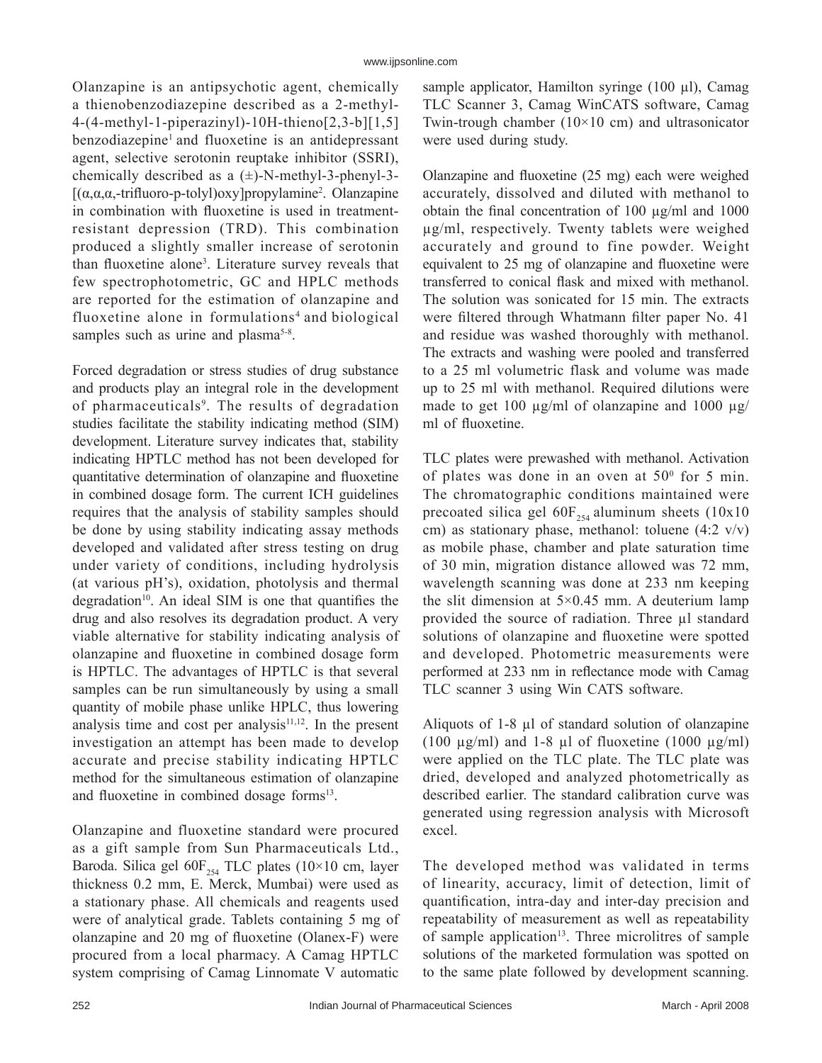Olanzapine is an antipsychotic agent, chemically a thienobenzodiazepine described as a 2-methyl-4-(4-methyl-1-piperazinyl)-10H-thieno[2,3-b][1,5] benzodiazepine<sup>1</sup> and fluoxetine is an antidepressant agent, selective serotonin reuptake inhibitor (SSRI), chemically described as a  $(\pm)$ -N-methyl-3-phenyl-3-[ $(\alpha, \alpha, \alpha, -\text{trifluoro-p-tolyl})$ oxy]propylamine<sup>2</sup>. Olanzapine in combination with fluoxetine is used in treatmentresistant depression (TRD). This combination produced a slightly smaller increase of serotonin than fluoxetine alone<sup>3</sup>. Literature survey reveals that few spectrophotometric, GC and HPLC methods are reported for the estimation of olanzapine and fluoxetine alone in formulations<sup>4</sup> and biological samples such as urine and plasma<sup>5-8</sup>.

Forced degradation or stress studies of drug substance and products play an integral role in the development of pharmaceuticals<sup>9</sup>. The results of degradation studies facilitate the stability indicating method (SIM) development. Literature survey indicates that, stability indicating HPTLC method has not been developed for quantitative determination of olanzapine and fluoxetine in combined dosage form. The current ICH guidelines requires that the analysis of stability samples should be done by using stability indicating assay methods developed and validated after stress testing on drug under variety of conditions, including hydrolysis (at various pH's), oxidation, photolysis and thermal degradation<sup>10</sup>. An ideal SIM is one that quantifies the drug and also resolves its degradation product. A very viable alternative for stability indicating analysis of olanzapine and fluoxetine in combined dosage form is HPTLC. The advantages of HPTLC is that several samples can be run simultaneously by using a small quantity of mobile phase unlike HPLC, thus lowering analysis time and cost per analysis $11,12$ . In the present investigation an attempt has been made to develop accurate and precise stability indicating HPTLC method for the simultaneous estimation of olanzapine and fluoxetine in combined dosage forms<sup>13</sup>.

Olanzapine and fluoxetine standard were procured as a gift sample from Sun Pharmaceuticals Ltd., Baroda. Silica gel  $60F_{254}$  TLC plates (10×10 cm, layer thickness 0.2 mm, E. Merck, Mumbai) were used as a stationary phase. All chemicals and reagents used were of analytical grade. Tablets containing 5 mg of olanzapine and 20 mg of fluoxetine (Olanex-F) were procured from a local pharmacy. A Camag HPTLC system comprising of Camag Linnomate V automatic

sample applicator, Hamilton syringe  $(100 \mu l)$ , Camag TLC Scanner 3, Camag WinCATS software, Camag Twin-trough chamber  $(10\times10$  cm) and ultrasonicator were used during study.

Olanzapine and fluoxetine  $(25 \text{ mg})$  each were weighed accurately, dissolved and diluted with methanol to obtain the final concentration of  $100 \mu g/ml$  and  $1000$ µg/ml, respectively. Twenty tablets were weighed accurately and ground to fine powder. Weight equivalent to 25 mg of olanzapine and fluoxetine were transferred to conical flask and mixed with methanol. The solution was sonicated for 15 min. The extracts were filtered through Whatmann filter paper No. 41 and residue was washed thoroughly with methanol. The extracts and washing were pooled and transferred to a 25 ml volumetric flask and volume was made up to 25 ml with methanol. Required dilutions were made to get 100  $\mu$ g/ml of olanzapine and 1000  $\mu$ g/ ml of fluoxetine.

TLC plates were prewashed with methanol. Activation of plates was done in an oven at  $50^{\circ}$  for 5 min. The chromatographic conditions maintained were precoated silica gel  $60F_{254}$  aluminum sheets (10x10) cm) as stationary phase, methanol: toluene  $(4:2 \text{ v/v})$ as mobile phase, chamber and plate saturation time of 30 min, migration distance allowed was 72 mm, wavelength scanning was done at 233 nm keeping the slit dimension at  $5 \times 0.45$  mm. A deuterium lamp provided the source of radiation. Three µl standard solutions of olanzapine and fluoxetine were spotted and developed. Photometric measurements were performed at 233 nm in reflectance mode with Camag TLC scanner 3 using Win CATS software.

Aliquots of 1-8 µl of standard solution of olanzapine (100  $\mu$ g/ml) and 1-8  $\mu$ l of fluoxetine (1000  $\mu$ g/ml) were applied on the TLC plate. The TLC plate was dried, developed and analyzed photometrically as described earlier. The standard calibration curve was generated using regression analysis with Microsoft excel.

The developed method was validated in terms of linearity, accuracy, limit of detection, limit of quantification, intra-day and inter-day precision and repeatability of measurement as well as repeatability of sample application<sup>13</sup>. Three microlitres of sample solutions of the marketed formulation was spotted on to the same plate followed by development scanning.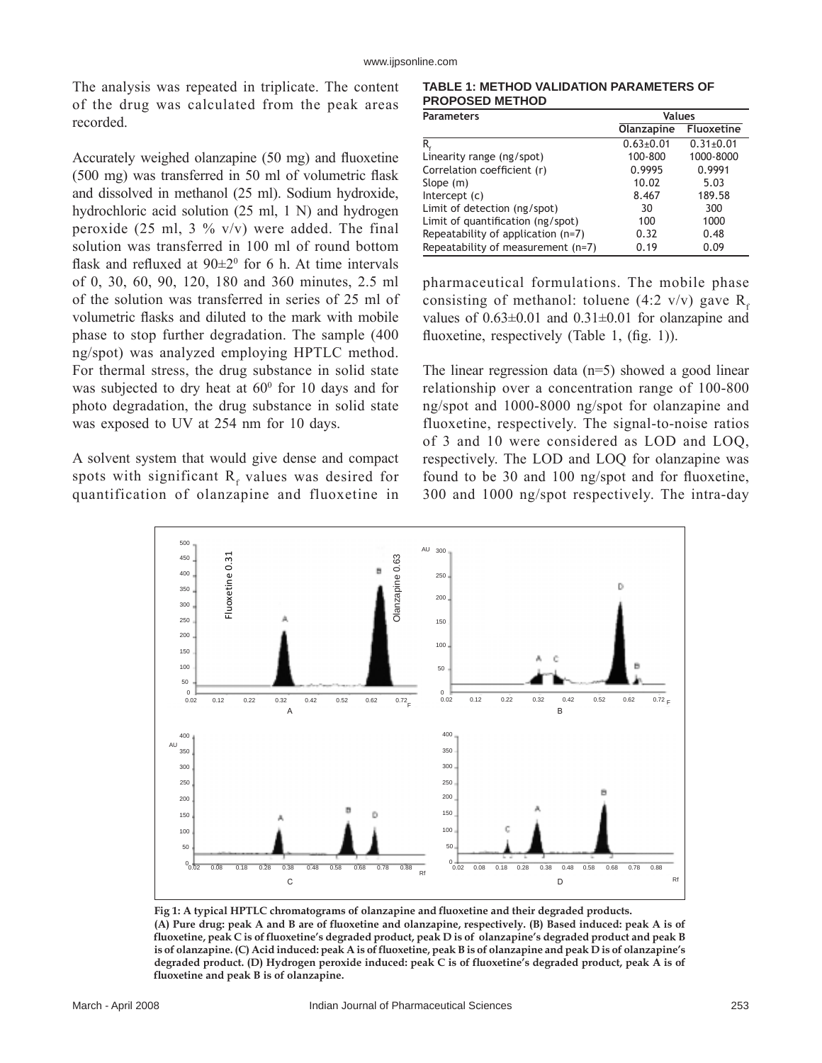### www.ijpsonline.com

The analysis was repeated in triplicate. The content of the drug was calculated from the peak areas recorded.

Accurately weighed olanzapine  $(50 \text{ mg})$  and fluoxetine  $(500 \text{ mg})$  was transferred in 50 ml of volumetric flask and dissolved in methanol (25 ml). Sodium hydroxide, hydrochloric acid solution (25 ml, 1 N) and hydrogen peroxide (25 ml, 3 %  $v/v$ ) were added. The final solution was transferred in 100 ml of round bottom flask and refluxed at  $90\pm2^0$  for 6 h. At time intervals of 0, 30, 60, 90, 120, 180 and 360 minutes, 2.5 ml of the solution was transferred in series of 25 ml of volumetric flasks and diluted to the mark with mobile phase to stop further degradation. The sample (400 ng/spot) was analyzed employing HPTLC method. For thermal stress, the drug substance in solid state was subjected to dry heat at  $60^{\circ}$  for 10 days and for photo degradation, the drug substance in solid state was exposed to UV at 254 nm for 10 days.

A solvent system that would give dense and compact spots with significant  $R_f$  values was desired for quantification of olanzapine and fluoxetine in

**TABLE 1: METHOD VALIDATION PARAMETERS OF PROPOSED METHOD**

| <b>Parameters</b>                  | <b>Values</b> |                   |
|------------------------------------|---------------|-------------------|
|                                    | Olanzapine    | <b>Fluoxetine</b> |
| R,                                 | $0.63 + 0.01$ | $0.31 \pm 0.01$   |
| Linearity range (ng/spot)          | 100-800       | 1000-8000         |
| Correlation coefficient (r)        | 0.9995        | 0.9991            |
| Slope $(m)$                        | 10.02         | 5.03              |
| Intercept (c)                      | 8.467         | 189.58            |
| Limit of detection (ng/spot)       | 30            | 300               |
| Limit of quantification (ng/spot)  | 100           | 1000              |
| Repeatability of application (n=7) | 0.32          | 0.48              |
| Repeatability of measurement (n=7) | 0.19          | 0.09              |

pharmaceutical formulations. The mobile phase consisting of methanol: toluene (4:2 v/v) gave  $R<sub>s</sub>$ values of  $0.63\pm0.01$  and  $0.31\pm0.01$  for olanzapine and fluoxetine, respectively (Table 1,  $(f_1, f_2, f_3)$ ).

The linear regression data (n=5) showed a good linear relationship over a concentration range of 100-800 ng/spot and 1000-8000 ng/spot for olanzapine and fluoxetine, respectively. The signal-to-noise ratios of 3 and 10 were considered as LOD and LOQ, respectively. The LOD and LOQ for olanzapine was found to be 30 and 100 ng/spot and for fluoxetine, 300 and 1000 ng/spot respectively. The intra-day



**Fig 1: A typical HPTLC chromatograms of olanzapine and fl uoxetine and their degraded products. (A) Pure drug: peak A and B are of fl uoxetine and olanzapine, respectively. (B) Based induced: peak A is of fl uoxetine, peak C is of fl uoxetineís degraded product, peak D is of olanzapineís degraded product and peak B is of olanzapine. (C) Acid induced: peak A is of fl uoxetine, peak B is of olanzapine and peak D is of olanzapineís degraded product. (D) Hydrogen peroxide induced: peak C is of fl uoxetineís degraded product, peak A is of**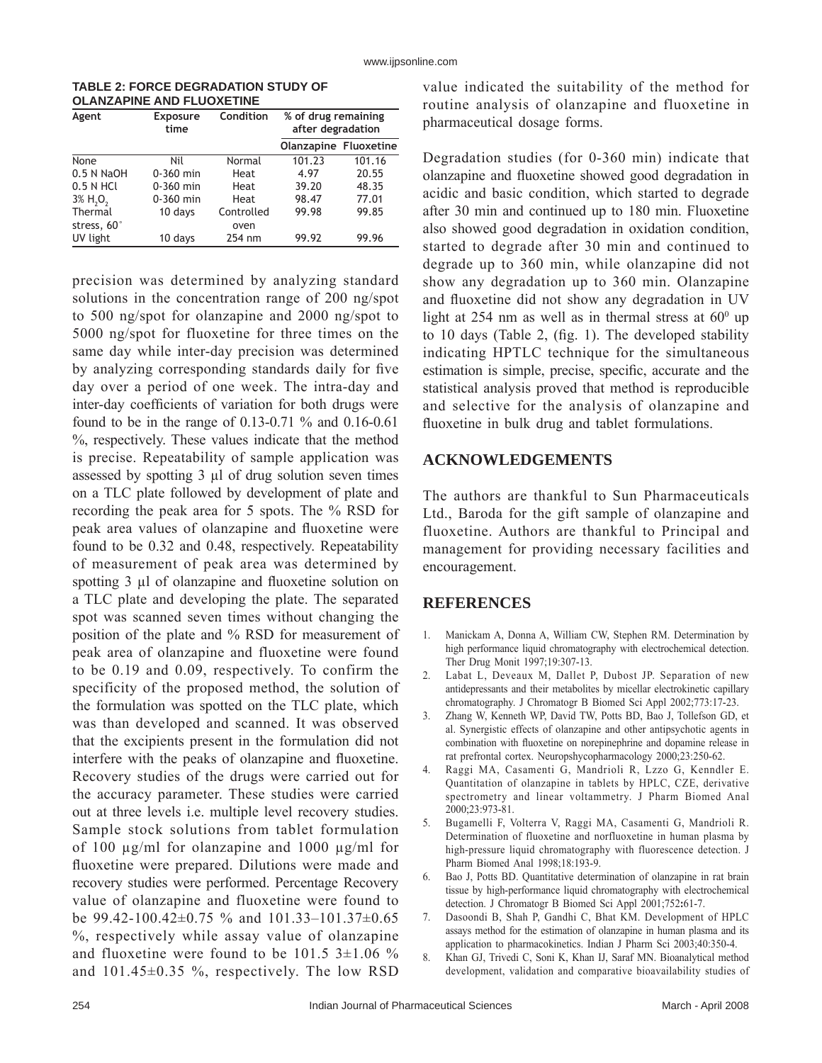| <b>TABLE 2: FORCE DEGRADATION STUDY OF</b> |  |
|--------------------------------------------|--|
| <b>OLANZAPINE AND FLUOXETINE</b>           |  |

| Agent                               | <b>Exposure</b><br>time | Condition  | % of drug remaining<br>after degradation |        |
|-------------------------------------|-------------------------|------------|------------------------------------------|--------|
|                                     |                         |            | <b>Olanzapine Fluoxetine</b>             |        |
| None                                | Nil                     | Normal     | 101.23                                   | 101.16 |
| 0.5 N NaOH                          | $0-360$ min             | Heat       | 4.97                                     | 20.55  |
| $0.5$ N HCl                         | $0 - 360$ min           | Heat       | 39.20                                    | 48.35  |
| $3\%$ H <sub>2</sub> O <sub>2</sub> | $0 - 360$ min           | Heat       | 98.47                                    | 77.01  |
| Thermal                             | 10 days                 | Controlled | 99.98                                    | 99.85  |
| stress, 60°                         |                         | oven       |                                          |        |
| UV light                            | 10 days                 | 254 nm     | 99.92                                    | 99.96  |

precision was determined by analyzing standard solutions in the concentration range of 200 ng/spot to 500 ng/spot for olanzapine and 2000 ng/spot to 5000 ng/spot for fluoxetine for three times on the same day while inter-day precision was determined by analyzing corresponding standards daily for five day over a period of one week. The intra-day and inter-day coefficients of variation for both drugs were found to be in the range of 0.13-0.71 % and 0.16-0.61 %, respectively. These values indicate that the method is precise. Repeatability of sample application was assessed by spotting 3 µl of drug solution seven times on a TLC plate followed by development of plate and recording the peak area for 5 spots. The % RSD for peak area values of olanzapine and fluoxetine were found to be 0.32 and 0.48, respectively. Repeatability of measurement of peak area was determined by spotting 3 µl of olanzapine and fluoxetine solution on a TLC plate and developing the plate. The separated spot was scanned seven times without changing the position of the plate and % RSD for measurement of peak area of olanzapine and fluoxetine were found to be 0.19 and 0.09, respectively. To confirm the specificity of the proposed method, the solution of the formulation was spotted on the TLC plate, which was than developed and scanned. It was observed that the excipients present in the formulation did not interfere with the peaks of olanzapine and fluoxetine. Recovery studies of the drugs were carried out for the accuracy parameter. These studies were carried out at three levels i.e. multiple level recovery studies. Sample stock solutions from tablet formulation of 100 µg/ml for olanzapine and 1000 µg/ml for fluoxetine were prepared. Dilutions were made and recovery studies were performed. Percentage Recovery value of olanzapine and fluoxetine were found to be 99.42-100.42 $\pm$ 0.75 % and 101.33-101.37 $\pm$ 0.65 %, respectively while assay value of olanzapine and fluoxetine were found to be  $101.5$  3 $\pm$ 1.06 % and 101.45±0.35 %, respectively. The low RSD

value indicated the suitability of the method for routine analysis of olanzapine and fluoxetine in pharmaceutical dosage forms.

Degradation studies (for 0-360 min) indicate that olanzapine and fluoxetine showed good degradation in acidic and basic condition, which started to degrade after 30 min and continued up to 180 min. Fluoxetine also showed good degradation in oxidation condition, started to degrade after 30 min and continued to degrade up to 360 min, while olanzapine did not show any degradation up to 360 min. Olanzapine and fluoxetine did not show any degradation in UV light at 254 nm as well as in thermal stress at  $60^{\circ}$  up to 10 days (Table 2,  $(f_1 g_1 f_2)$ ). The developed stability indicating HPTLC technique for the simultaneous estimation is simple, precise, specific, accurate and the statistical analysis proved that method is reproducible and selective for the analysis of olanzapine and fluoxetine in bulk drug and tablet formulations.

## **ACKNOWLEDGEMENTS**

The authors are thankful to Sun Pharmaceuticals Ltd., Baroda for the gift sample of olanzapine and fluoxetine. Authors are thankful to Principal and management for providing necessary facilities and encouragement.

## **REFERENCES**

- 1. Manickam A, Donna A, William CW, Stephen RM. Determination by high performance liquid chromatography with electrochemical detection. Ther Drug Monit 1997;19:307-13.
- 2. Labat L, Deveaux M, Dallet P, Dubost JP. Separation of new antidepressants and their metabolites by micellar electrokinetic capillary chromatography. J Chromatogr B Biomed Sci Appl 2002;773:17-23.
- 3. Zhang W, Kenneth WP, David TW, Potts BD, Bao J, Tollefson GD, et al. Synergistic effects of olanzapine and other antipsychotic agents in combination with fluoxetine on norepinephrine and dopamine release in rat prefrontal cortex. Neuropshycopharmacology 2000;23:250-62.
- 4. Raggi MA, Casamenti G, Mandrioli R, Lzzo G, Kenndler E. Quantitation of olanzapine in tablets by HPLC, CZE, derivative spectrometry and linear voltammetry. J Pharm Biomed Anal 2000;23:973-81.
- 5. Bugamelli F, Volterra V, Raggi MA, Casamenti G, Mandrioli R. Determination of fluoxetine and norfluoxetine in human plasma by high-pressure liquid chromatography with fluorescence detection. J Pharm Biomed Anal 1998;18:193-9.
- 6. Bao J, Potts BD. Quantitative determination of olanzapine in rat brain tissue by high-performance liquid chromatography with electrochemical detection. J Chromatogr B Biomed Sci Appl 2001;752**:**61-7.
- 7. Dasoondi B, Shah P, Gandhi C, Bhat KM. Development of HPLC assays method for the estimation of olanzapine in human plasma and its application to pharmacokinetics. Indian J Pharm Sci 2003;40:350-4.
- 8. Khan GJ, Trivedi C, Soni K, Khan IJ, Saraf MN. Bioanalytical method development, validation and comparative bioavailability studies of